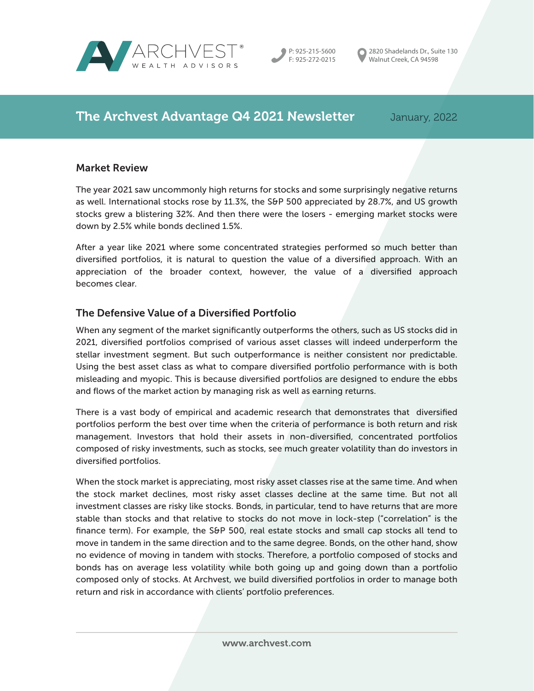



2820 Shadelands Dr., Suite 130 Walnut Creek, CA 94598

# The Archvest Advantage Q4 2021 Newsletter January, 2022

#### Market Review

The year 2021 saw uncommonly high returns for stocks and some surprisingly negative returns as well. International stocks rose by 11.3%, the S&P 500 appreciated by 28.7%, and US growth stocks grew a blistering 32%. And then there were the losers - emerging market stocks were down by 2.5% while bonds declined 1.5%.

After a year like 2021 where some concentrated strategies performed so much better than diversified portfolios, it is natural to question the value of a diversified approach. With an appreciation of the broader context, however, the value of a diversified approach becomes clear.

# The Defensive Value of a Diversified Portfolio

When any segment of the market significantly outperforms the others, such as US stocks did in 2021, diversified portfolios comprised of various asset classes will indeed underperform the stellar investment segment. But such outperformance is neither consistent nor predictable. Using the best asset class as what to compare diversified portfolio performance with is both misleading and myopic. This is because diversified portfolios are designed to endure the ebbs and flows of the market action by managing risk as well as earning returns.

There is a vast body of empirical and academic research that demonstrates that diversified portfolios perform the best over time when the criteria of performance is both return and risk management. Investors that hold their assets in non-diversified, concentrated portfolios composed of risky investments, such as stocks, see much greater volatility than do investors in diversified portfolios.

When the stock market is appreciating, most risky asset classes rise at the same time. And when the stock market declines, most risky asset classes decline at the same time. But not all investment classes are risky like stocks. Bonds, in particular, tend to have returns that are more stable than stocks and that relative to stocks do not move in lock-step ("correlation" is the finance term). For example, the S&P 500, real estate stocks and small cap stocks all tend to move in tandem in the same direction and to the same degree. Bonds, on the other hand, show no evidence of moving in tandem with stocks. Therefore, a portfolio composed of stocks and bonds has on average less volatility while both going up and going down than a portfolio composed only of stocks. At Archvest, we build diversified portfolios in order to manage both return and risk in accordance with clients' portfolio preferences.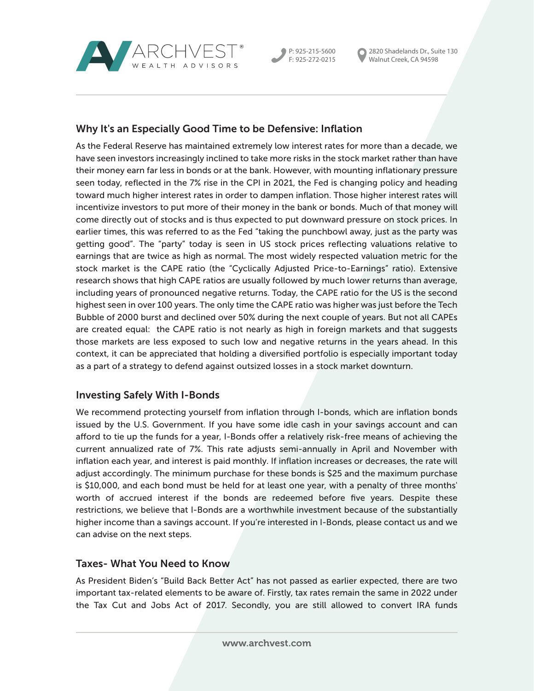

P: 925-215-5600 F: 925-272-0215 2820 Shadelands Dr., Suite 130 Walnut Creek, CA 94598

# Why It's an Especially Good Time to be Defensive: Inflation

As the Federal Reserve has maintained extremely low interest rates for more than a decade, we have seen investors increasingly inclined to take more risks in the stock market rather than have their money earn far less in bonds or at the bank. However, with mounting inflationary pressure seen today, reflected in the 7% rise in the CPI in 2021, the Fed is changing policy and heading toward much higher interest rates in order to dampen inflation. Those higher interest rates will incentivize investors to put more of their money in the bank or bonds. Much of that money will come directly out of stocks and is thus expected to put downward pressure on stock prices. In earlier times, this was referred to as the Fed "taking the punchbowl away, just as the party was getting good". The "party" today is seen in US stock prices reflecting valuations relative to earnings that are twice as high as normal. The most widely respected valuation metric for the stock market is the CAPE ratio (the "Cyclically Adjusted Price-to-Earnings" ratio). Extensive research shows that high CAPE ratios are usually followed by much lower returns than average, including years of pronounced negative returns. Today, the CAPE ratio for the US is the second highest seen in over 100 years. The only time the CAPE ratio was higher was just before the Tech Bubble of 2000 burst and declined over 50% during the next couple of years. But not all CAPEs are created equal: the CAPE ratio is not nearly as high in foreign markets and that suggests those markets are less exposed to such low and negative returns in the years ahead. In this context, it can be appreciated that holding a diversified portfolio is especially important today as a part of a strategy to defend against outsized losses in a stock market downturn.

# Investing Safely With I-Bonds

We recommend protecting yourself from inflation through I-bonds, which are inflation bonds issued by the U.S. Government. If you have some idle cash in your savings account and can afford to tie up the funds for a year, I-Bonds offer a relatively risk-free means of achieving the current annualized rate of 7%. This rate adjusts semi-annually in April and November with inflation each year, and interest is paid monthly. If inflation increases or decreases, the rate will adjust accordingly. The minimum purchase for these bonds is \$25 and the maximum purchase is \$10,000, and each bond must be held for at least one year, with a penalty of three months' worth of accrued interest if the bonds are redeemed before five years. Despite these restrictions, we believe that I-Bonds are a worthwhile investment because of the substantially higher income than a savings account. If you're interested in I-Bonds, please contact us and we can advise on the next steps.

# Taxes- What You Need to Know

As President Biden's "Build Back Better Act" has not passed as earlier expected, there are two important tax-related elements to be aware of. Firstly, tax rates remain the same in 2022 under the Tax Cut and Jobs Act of 2017. Secondly, you are still allowed to convert IRA funds